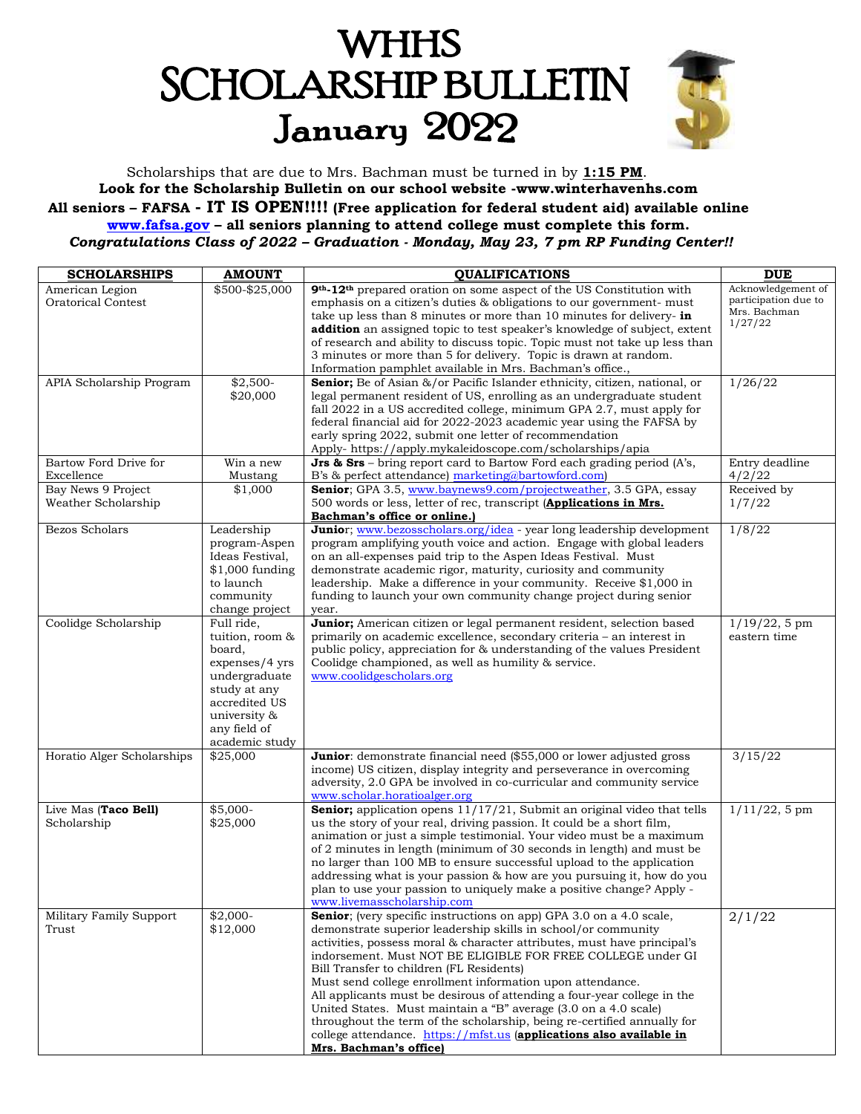# **WHHS SCHOLARSHIP BULLETIN** January 2022



Scholarships that are due to Mrs. Bachman must be turned in by **1:15 PM**. **Look for the Scholarship Bulletin on our school website -www.winterhavenhs.com All seniors – FAFSA - IT IS OPEN!!!! (Free application for federal student aid) available online [www.fafsa.gov](http://www.fafsa.gov/) – all seniors planning to attend college must complete this form.** *Congratulations Class of 2022 – Graduation - Monday, May 23, 7 pm RP Funding Center!!*

| <b>SCHOLARSHIPS</b>        | <b>AMOUNT</b>            | <b>QUALIFICATIONS</b>                                                                                                          | <b>DUE</b>           |
|----------------------------|--------------------------|--------------------------------------------------------------------------------------------------------------------------------|----------------------|
| American Legion            | \$500-\$25,000           | 9th-12th prepared oration on some aspect of the US Constitution with                                                           | Acknowledgement of   |
| <b>Oratorical Contest</b>  |                          | emphasis on a citizen's duties & obligations to our government- must                                                           | participation due to |
|                            |                          | take up less than 8 minutes or more than 10 minutes for delivery- in                                                           | Mrs. Bachman         |
|                            |                          | <b>addition</b> an assigned topic to test speaker's knowledge of subject, extent                                               | 1/27/22              |
|                            |                          | of research and ability to discuss topic. Topic must not take up less than                                                     |                      |
|                            |                          | 3 minutes or more than 5 for delivery. Topic is drawn at random.                                                               |                      |
|                            |                          | Information pamphlet available in Mrs. Bachman's office.,                                                                      |                      |
| APIA Scholarship Program   | $$2,500-$                | Senior; Be of Asian &/or Pacific Islander ethnicity, citizen, national, or                                                     | 1/26/22              |
|                            | \$20,000                 | legal permanent resident of US, enrolling as an undergraduate student                                                          |                      |
|                            |                          | fall 2022 in a US accredited college, minimum GPA 2.7, must apply for                                                          |                      |
|                            |                          | federal financial aid for 2022-2023 academic year using the FAFSA by                                                           |                      |
|                            |                          | early spring 2022, submit one letter of recommendation                                                                         |                      |
|                            |                          | Apply- https://apply.mykaleidoscope.com/scholarships/apia                                                                      |                      |
| Bartow Ford Drive for      | Win a new                | <b>Jrs &amp; Srs</b> – bring report card to Bartow Ford each grading period $(A's)$ ,                                          | Entry deadline       |
| Excellence                 | Mustang                  | B's & perfect attendance) marketing@bartowford.com)                                                                            | 4/2/22               |
| Bay News 9 Project         | \$1,000                  | Senior; GPA 3.5, www.baynews9.com/projectweather, 3.5 GPA, essay                                                               | Received by          |
| Weather Scholarship        |                          | 500 words or less, letter of rec, transcript (Applications in Mrs.                                                             | 1/7/22               |
|                            |                          | Bachman's office or online.)                                                                                                   |                      |
| Bezos Scholars             | Leadership               | Junior; www.bezosscholars.org/idea - year long leadership development                                                          | 1/8/22               |
|                            | program-Aspen            | program amplifying youth voice and action. Engage with global leaders                                                          |                      |
|                            | Ideas Festival,          | on an all-expenses paid trip to the Aspen Ideas Festival. Must                                                                 |                      |
|                            | $$1,000$ funding         | demonstrate academic rigor, maturity, curiosity and community                                                                  |                      |
|                            | to launch                | leadership. Make a difference in your community. Receive \$1,000 in                                                            |                      |
|                            | community                | funding to launch your own community change project during senior                                                              |                      |
|                            | change project           | year.                                                                                                                          |                      |
| Coolidge Scholarship       | Full ride,               | Junior; American citizen or legal permanent resident, selection based                                                          | $1/19/22$ , 5 pm     |
|                            | tuition, room &          | primarily on academic excellence, secondary criteria - an interest in                                                          | eastern time         |
|                            | board,<br>expenses/4 yrs | public policy, appreciation for & understanding of the values President<br>Coolidge championed, as well as humility & service. |                      |
|                            | undergraduate            | www.coolidgescholars.org                                                                                                       |                      |
|                            | study at any             |                                                                                                                                |                      |
|                            | accredited US            |                                                                                                                                |                      |
|                            | university &             |                                                                                                                                |                      |
|                            | any field of             |                                                                                                                                |                      |
|                            | academic study           |                                                                                                                                |                      |
| Horatio Alger Scholarships | \$25,000                 | Junior: demonstrate financial need (\$55,000 or lower adjusted gross                                                           | 3/15/22              |
|                            |                          | income) US citizen, display integrity and perseverance in overcoming                                                           |                      |
|                            |                          | adversity, 2.0 GPA be involved in co-curricular and community service                                                          |                      |
|                            |                          | www.scholar.horatioalger.org                                                                                                   |                      |
| Live Mas (Taco Bell)       | $$5,000-$                | <b>Senior;</b> application opens $11/17/21$ , Submit an original video that tells                                              | $1/11/22$ , 5 pm     |
| Scholarship                | \$25,000                 | us the story of your real, driving passion. It could be a short film,                                                          |                      |
|                            |                          | animation or just a simple testimonial. Your video must be a maximum                                                           |                      |
|                            |                          | of 2 minutes in length (minimum of 30 seconds in length) and must be                                                           |                      |
|                            |                          | no larger than 100 MB to ensure successful upload to the application                                                           |                      |
|                            |                          | addressing what is your passion & how are you pursuing it, how do you                                                          |                      |
|                            |                          | plan to use your passion to uniquely make a positive change? Apply -                                                           |                      |
|                            |                          | www.livemasscholarship.com                                                                                                     |                      |
| Military Family Support    | $$2,000-$                | Senior; (very specific instructions on app) GPA 3.0 on a 4.0 scale,                                                            | 2/1/22               |
| Trust                      | \$12,000                 | demonstrate superior leadership skills in school/or community                                                                  |                      |
|                            |                          | activities, possess moral & character attributes, must have principal's                                                        |                      |
|                            |                          | indorsement. Must NOT BE ELIGIBLE FOR FREE COLLEGE under GI<br>Bill Transfer to children (FL Residents)                        |                      |
|                            |                          | Must send college enrollment information upon attendance.                                                                      |                      |
|                            |                          | All applicants must be desirous of attending a four-year college in the                                                        |                      |
|                            |                          | United States. Must maintain a "B" average (3.0 on a 4.0 scale)                                                                |                      |
|                            |                          | throughout the term of the scholarship, being re-certified annually for                                                        |                      |
|                            |                          | college attendance. https://mfst.us (applications also available in                                                            |                      |
|                            |                          | Mrs. Bachman's office)                                                                                                         |                      |